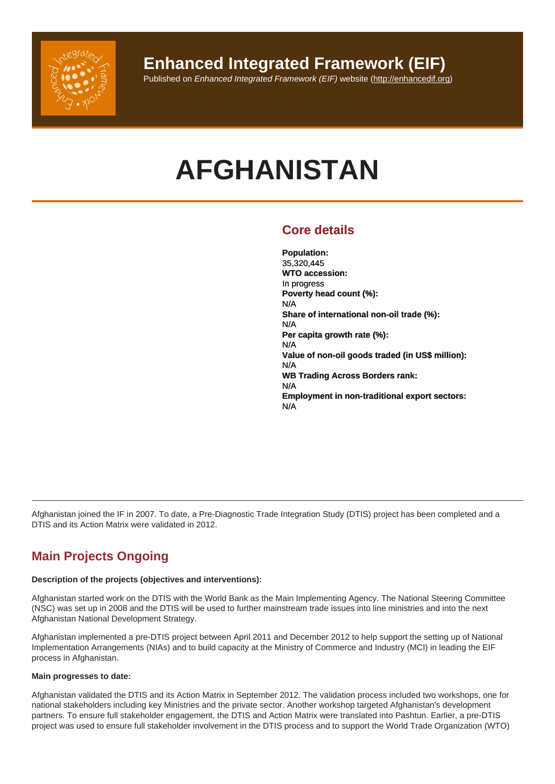# AFGHANISTAN

# Core details

Population: 35,320,445 WTO accession: In progress Poverty head count (%): N/A Share of international non-oil trade (%): N/A Per capita growth rate (%): N/A Value of non-oil goods traded (in US\$ million): N/A WB Trading Across Borders rank: N/A Employment in non-traditional export sectors: N/A

Afghanistan joined the IF in 2007. To date, a Pre-Diagnostic Trade Integration Study (DTIS) project has been completed and a DTIS and its Action Matrix were validated in 2012.

# Main Projects Ongoing

Description of the projects (objectives and interventions):

Afghanistan started work on the DTIS with the World Bank as the Main Implementing Agency. The National Steering Committee (NSC) was set up in 2008 and the DTIS will be used to further mainstream trade issues into line ministries and into the next Afghanistan National Development Strategy.

Afghanistan implemented a pre-DTIS project between April 2011 and December 2012 to help support the setting up of National Implementation Arrangements (NIAs) and to build capacity at the Ministry of Commerce and Industry (MCI) in leading the EIF process in Afghanistan.

Main progresses to date:

Afghanistan validated the DTIS and its Action Matrix in September 2012. The validation process included two workshops, one for national stakeholders including key Ministries and the private sector. Another workshop targeted Afghanistan's development partners. To ensure full stakeholder engagement, the DTIS and Action Matrix were translated into Pashtun. Earlier, a pre-DTIS project was used to ensure full stakeholder involvement in the DTIS process and to support the World Trade Organization (WTO)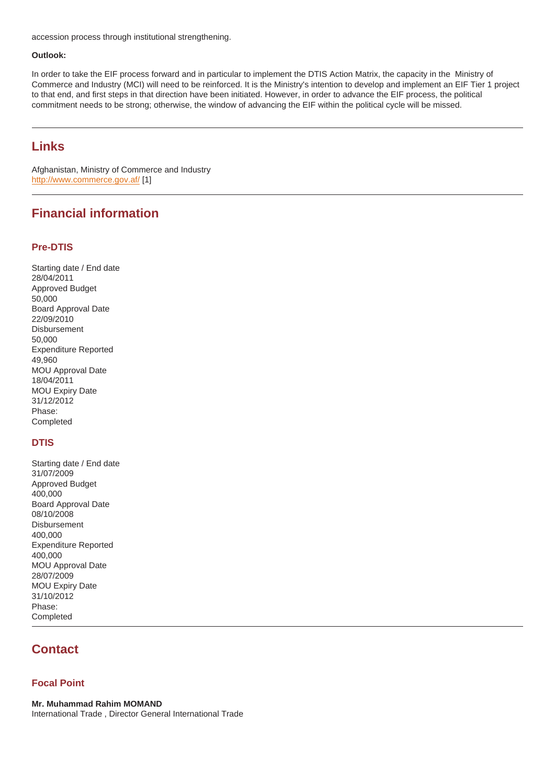Outlook:

In order to take the EIF process forward and in particular to implement the DTIS Action Matrix, the capacity in the Ministry of Commerce and Industry (MCI) will need to be reinforced. It is the Ministry's intention to develop and implement an EIF Tier 1 project to that end, and first steps in that direction have been initiated. However, in order to advance the EIF process, the political commitment needs to be strong; otherwise, the window of advancing the EIF within the political cycle will be missed.

### Links

Afghanistan, Ministry of Commerce and Industry http://www.commerce.gov.af/ [1]

## Financial information

#### Pre-DTIS

Starting date / End date 28/04/2011 Approved Budget 50,000 Board Approval Date 22/09/2010 Disbursement 50,000 Expenditure Reported 49,960 MOU Approval Date 18/04/2011 MOU Expiry Date 31/12/2012 Phase: Completed

#### **DTIS**

Starting date / End date 31/07/2009 Approved Budget 400,000 Board Approval Date 08/10/2008 **Disbursement** 400,000 Expenditure Reported 400,000 MOU Approval Date 28/07/2009 MOU Expiry Date 31/10/2012 Phase: Completed

## **Contact**

#### Focal Point

Mr. Muhammad Rahim MOMAND International Trade , Director General International Trade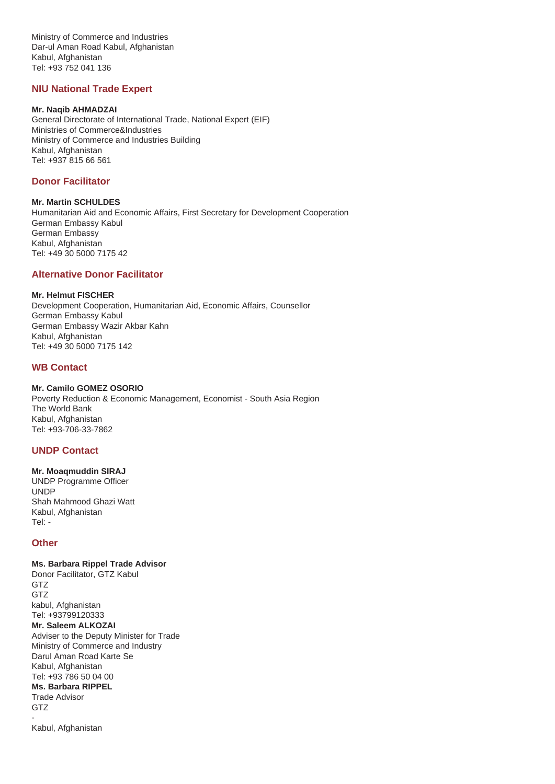Ministry of Commerce and Industries Dar-ul Aman Road Kabul, Afghanistan Kabul, Afghanistan Tel: +93 752 041 136

#### **NIU National Trade Expert**

#### **Mr. Naqib AHMADZAI**

General Directorate of International Trade, National Expert (EIF) Ministries of Commerce&Industries Ministry of Commerce and Industries Building Kabul, Afghanistan Tel: +937 815 66 561

#### **Donor Facilitator**

**Mr. Martin SCHULDES** Humanitarian Aid and Economic Affairs, First Secretary for Development Cooperation German Embassy Kabul German Embassy Kabul, Afghanistan Tel: +49 30 5000 7175 42

#### **Alternative Donor Facilitator**

#### **Mr. Helmut FISCHER**

Development Cooperation, Humanitarian Aid, Economic Affairs, Counsellor German Embassy Kabul German Embassy Wazir Akbar Kahn Kabul, Afghanistan Tel: +49 30 5000 7175 142

#### **WB Contact**

#### **Mr. Camilo GOMEZ OSORIO**

Poverty Reduction & Economic Management, Economist - South Asia Region The World Bank Kabul, Afghanistan Tel: +93-706-33-7862

#### **UNDP Contact**

#### **Mr. Moaqmuddin SIRAJ**

UNDP Programme Officer UNDP Shah Mahmood Ghazi Watt Kabul, Afghanistan Tel: -

#### **Other**

**Ms. Barbara Rippel Trade Advisor** Donor Facilitator, GTZ Kabul GTZ GTZ kabul, Afghanistan Tel: +93799120333 **Mr. Saleem ALKOZAI** Adviser to the Deputy Minister for Trade Ministry of Commerce and Industry Darul Aman Road Karte Se Kabul, Afghanistan Tel: +93 786 50 04 00 **Ms. Barbara RIPPEL** Trade Advisor GTZ -

Kabul, Afghanistan